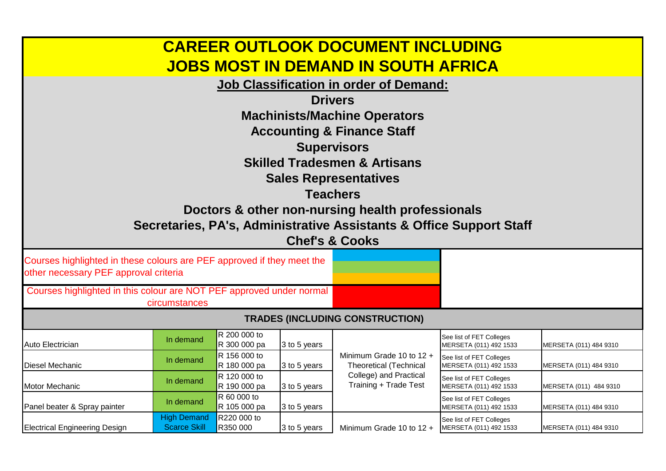| <b>CAREER OUTLOOK DOCUMENT INCLUDING</b><br><b>JOBS MOST IN DEMAND IN SOUTH AFRICA</b>                          |                                    |                              |                    |                                                                              |                                                    |                        |  |
|-----------------------------------------------------------------------------------------------------------------|------------------------------------|------------------------------|--------------------|------------------------------------------------------------------------------|----------------------------------------------------|------------------------|--|
|                                                                                                                 |                                    |                              |                    | <b>Job Classification in order of Demand:</b>                                |                                                    |                        |  |
|                                                                                                                 |                                    |                              |                    | <b>Drivers</b>                                                               |                                                    |                        |  |
|                                                                                                                 |                                    |                              |                    | <b>Machinists/Machine Operators</b><br><b>Accounting &amp; Finance Staff</b> |                                                    |                        |  |
|                                                                                                                 |                                    |                              | <b>Supervisors</b> |                                                                              |                                                    |                        |  |
|                                                                                                                 |                                    |                              |                    | <b>Skilled Tradesmen &amp; Artisans</b>                                      |                                                    |                        |  |
|                                                                                                                 |                                    |                              |                    | <b>Sales Representatives</b>                                                 |                                                    |                        |  |
|                                                                                                                 |                                    |                              | <b>Teachers</b>    |                                                                              |                                                    |                        |  |
|                                                                                                                 |                                    |                              |                    | Doctors & other non-nursing health professionals                             |                                                    |                        |  |
|                                                                                                                 |                                    |                              |                    | Secretaries, PA's, Administrative Assistants & Office Support Staff          |                                                    |                        |  |
|                                                                                                                 |                                    |                              |                    | <b>Chef's &amp; Cooks</b>                                                    |                                                    |                        |  |
| Courses highlighted in these colours are PEF approved if they meet the<br>other necessary PEF approval criteria |                                    |                              |                    |                                                                              |                                                    |                        |  |
| Courses highlighted in this colour are NOT PEF approved under normal                                            |                                    |                              |                    |                                                                              |                                                    |                        |  |
|                                                                                                                 | circumstances                      |                              |                    | <b>TRADES (INCLUDING CONSTRUCTION)</b>                                       |                                                    |                        |  |
|                                                                                                                 |                                    | R 200 000 to                 |                    |                                                                              | See list of FET Colleges                           |                        |  |
| Auto Electrician                                                                                                | In demand                          | R 300 000 pa                 | 3 to 5 years       |                                                                              | MERSETA (011) 492 1533                             | MERSETA (011) 484 9310 |  |
| <b>Diesel Mechanic</b>                                                                                          | In demand                          | R 156 000 to<br>R 180 000 pa | 3 to 5 years       | Minimum Grade 10 to 12 +<br><b>Theoretical (Technical</b>                    | See list of FET Colleges<br>MERSETA (011) 492 1533 | MERSETA (011) 484 9310 |  |
| Motor Mechanic                                                                                                  | In demand                          | R 120 000 to<br>R 190 000 pa | 3 to 5 years       | College) and Practical<br>Training + Trade Test                              | See list of FET Colleges<br>MERSETA (011) 492 1533 | MERSETA (011) 484 9310 |  |
| Panel beater & Spray painter                                                                                    | In demand                          | R 60 000 to<br>R 105 000 pa  | 3 to 5 years       |                                                                              | See list of FET Colleges<br>MERSETA (011) 492 1533 | MERSETA (011) 484 9310 |  |
| <b>Electrical Engineering Design</b>                                                                            | <b>High Demand</b><br>Scarce Skill | R220 000 to<br>R350 000      | 3 to 5 years       | Minimum Grade 10 to $12 +$                                                   | See list of FET Colleges<br>MERSETA (011) 492 1533 | MERSETA (011) 484 9310 |  |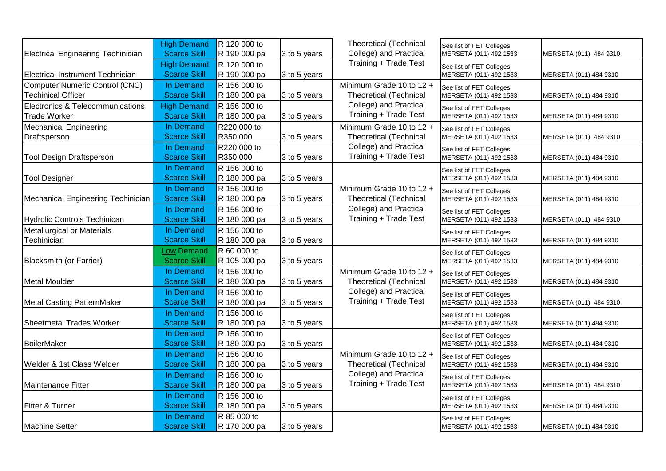|                                           | <b>High Demand</b>  | R 120 000 to |              | <b>Theoretical (Technical</b>                   | See list of FET Colleges |                        |
|-------------------------------------------|---------------------|--------------|--------------|-------------------------------------------------|--------------------------|------------------------|
| <b>Electrical Engineering Techinician</b> | <b>Scarce Skill</b> | R 190 000 pa | 3 to 5 years | College) and Practical                          | MERSETA (011) 492 1533   | MERSETA (011) 484 9310 |
|                                           | <b>High Demand</b>  | R 120 000 to |              | Training + Trade Test                           | See list of FET Colleges |                        |
| Electrical Instrument Technician          | <b>Scarce Skill</b> | R 190 000 pa | 3 to 5 years |                                                 | MERSETA (011) 492 1533   | MERSETA (011) 484 9310 |
| Computer Numeric Control (CNC)            | In Demand           | R 156 000 to |              | Minimum Grade 10 to 12 +                        | See list of FET Colleges |                        |
| <b>Techinical Officer</b>                 | <b>Scarce Skill</b> | R 180 000 pa | 3 to 5 years | <b>Theoretical (Technical</b>                   | MERSETA (011) 492 1533   | MERSETA (011) 484 9310 |
| Electronics & Telecommunications          | <b>High Demand</b>  | R 156 000 to |              | College) and Practical                          | See list of FET Colleges |                        |
| <b>Trade Worker</b>                       | <b>Scarce Skill</b> | R 180 000 pa | 3 to 5 years | Training + Trade Test                           | MERSETA (011) 492 1533   | MERSETA (011) 484 9310 |
| <b>Mechanical Engineering</b>             | In Demand           | R220 000 to  |              | Minimum Grade 10 to 12 +                        | See list of FET Colleges |                        |
| Draftsperson                              | <b>Scarce Skill</b> | R350 000     | 3 to 5 years | <b>Theoretical (Technical</b>                   | MERSETA (011) 492 1533   | MERSETA (011) 484 9310 |
|                                           | In Demand           | R220 000 to  |              | College) and Practical                          | See list of FET Colleges |                        |
| <b>Tool Design Draftsperson</b>           | <b>Scarce Skill</b> | R350 000     | 3 to 5 years | Training + Trade Test                           | MERSETA (011) 492 1533   | MERSETA (011) 484 9310 |
|                                           | In Demand           | R 156 000 to |              |                                                 | See list of FET Colleges |                        |
| <b>Tool Designer</b>                      | <b>Scarce Skill</b> | R 180 000 pa | 3 to 5 years |                                                 | MERSETA (011) 492 1533   | MERSETA (011) 484 9310 |
|                                           | In Demand           | R 156 000 to |              | Minimum Grade 10 to 12 +                        | See list of FET Colleges |                        |
| Mechanical Engineering Techinician        | <b>Scarce Skill</b> | R 180 000 pa | 3 to 5 years | <b>Theoretical (Technical</b>                   | MERSETA (011) 492 1533   | MERSETA (011) 484 9310 |
|                                           | In Demand           | R 156 000 to |              | College) and Practical                          | See list of FET Colleges |                        |
| Hydrolic Controls Techinican              | <b>Scarce Skill</b> | R 180 000 pa | 3 to 5 years | Training + Trade Test                           | MERSETA (011) 492 1533   | MERSETA (011) 484 9310 |
| Metallurgical or Materials                | In Demand           | R 156 000 to |              |                                                 | See list of FET Colleges |                        |
| Techinician                               | <b>Scarce Skill</b> | R 180 000 pa | 3 to 5 years |                                                 | MERSETA (011) 492 1533   | MERSETA (011) 484 9310 |
|                                           | <b>Low Demand</b>   | R 60 000 to  |              |                                                 | See list of FET Colleges |                        |
| Blacksmith (or Farrier)                   | <b>Scarce Skill</b> | R 105 000 pa | 3 to 5 years |                                                 | MERSETA (011) 492 1533   | MERSETA (011) 484 9310 |
|                                           | In Demand           | R 156 000 to |              | Minimum Grade 10 to 12 +                        | See list of FET Colleges |                        |
| Metal Moulder                             | <b>Scarce Skill</b> | R 180 000 pa | 3 to 5 years | <b>Theoretical (Technical</b>                   | MERSETA (011) 492 1533   | MERSETA (011) 484 9310 |
|                                           | In Demand           | R 156 000 to |              | College) and Practical                          | See list of FET Colleges |                        |
| Metal Casting PatternMaker                | <b>Scarce Skill</b> | R 180 000 pa | 3 to 5 years | Training + Trade Test                           | MERSETA (011) 492 1533   | MERSETA (011) 484 9310 |
|                                           | In Demand           | R 156 000 to |              |                                                 | See list of FET Colleges |                        |
| <b>Sheetmetal Trades Worker</b>           | <b>Scarce Skill</b> | R 180 000 pa | 3 to 5 years |                                                 | MERSETA (011) 492 1533   | MERSETA (011) 484 9310 |
|                                           | In Demand           | R 156 000 to |              |                                                 | See list of FET Colleges |                        |
| BoilerMaker                               | <b>Scarce Skill</b> | R 180 000 pa | 3 to 5 years |                                                 | MERSETA (011) 492 1533   | MERSETA (011) 484 9310 |
|                                           | In Demand           | R 156 000 to |              | Minimum Grade 10 to 12 +                        | See list of FET Colleges |                        |
| Welder & 1st Class Welder                 | <b>Scarce Skill</b> | R 180 000 pa | 3 to 5 years | <b>Theoretical (Technical</b>                   | MERSETA (011) 492 1533   | MERSETA (011) 484 9310 |
|                                           | In Demand           | R 156 000 to |              | College) and Practical<br>Training + Trade Test | See list of FET Colleges |                        |
| Maintenance Fitter                        | <b>Scarce Skill</b> | R 180 000 pa | 3 to 5 years |                                                 | MERSETA (011) 492 1533   | MERSETA (011) 484 9310 |
|                                           | In Demand           | R 156 000 to |              |                                                 | See list of FET Colleges |                        |
| Fitter & Turner                           | <b>Scarce Skill</b> | R 180 000 pa | 3 to 5 years |                                                 | MERSETA (011) 492 1533   | MERSETA (011) 484 9310 |
|                                           | In Demand           | R 85 000 to  |              |                                                 | See list of FET Colleges |                        |
| Machine Setter                            | <b>Scarce Skill</b> | R 170 000 pa | 3 to 5 years |                                                 | MERSETA (011) 492 1533   | MERSETA (011) 484 9310 |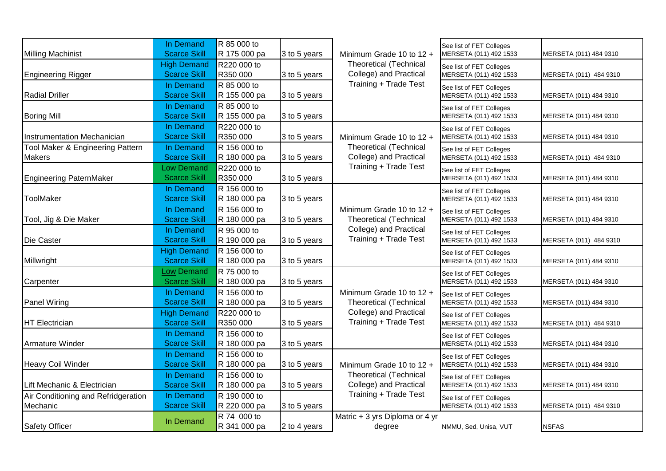|                                     | In Demand                                 | R 85 000 to                 |              |                                                         | See list of FET Colleges                           |                        |
|-------------------------------------|-------------------------------------------|-----------------------------|--------------|---------------------------------------------------------|----------------------------------------------------|------------------------|
| Milling Machinist                   | <b>Scarce Skill</b>                       | R 175 000 pa                | 3 to 5 years | Minimum Grade 10 to 12 +                                | MERSETA (011) 492 1533                             | MERSETA (011) 484 9310 |
|                                     | <b>High Demand</b>                        | R220 000 to                 |              | <b>Theoretical (Technical</b>                           | See list of FET Colleges                           |                        |
| <b>Engineering Rigger</b>           | <b>Scarce Skill</b>                       | R350 000                    | 3 to 5 years | College) and Practical                                  | MERSETA (011) 492 1533                             | MERSETA (011) 484 9310 |
|                                     | In Demand                                 | R 85 000 to                 |              | Training + Trade Test                                   | See list of FET Colleges                           |                        |
| Radial Driller                      | <b>Scarce Skill</b>                       | R 155 000 pa                | 3 to 5 years |                                                         | MERSETA (011) 492 1533                             | MERSETA (011) 484 9310 |
|                                     | In Demand                                 | R 85 000 to                 |              |                                                         | See list of FET Colleges                           |                        |
| <b>Boring Mill</b>                  | <b>Scarce Skill</b>                       | R 155 000 pa                | 3 to 5 years |                                                         | MERSETA (011) 492 1533                             | MERSETA (011) 484 9310 |
|                                     | In Demand                                 | R220 000 to                 |              |                                                         | See list of FET Colleges                           |                        |
| Instrumentation Mechanician         | <b>Scarce Skill</b>                       | R350 000                    | 3 to 5 years | Minimum Grade 10 to 12 +                                | MERSETA (011) 492 1533                             | MERSETA (011) 484 9310 |
| Tool Maker & Engineering Pattern    | In Demand                                 | R 156 000 to                |              | <b>Theoretical (Technical</b>                           | See list of FET Colleges                           |                        |
| <b>Makers</b>                       | <b>Scarce Skill</b>                       | R 180 000 pa                | 3 to 5 years | College) and Practical                                  | MERSETA (011) 492 1533                             | MERSETA (011) 484 9310 |
|                                     | <b>Low Demand</b>                         | R220 000 to                 |              | Training + Trade Test                                   | See list of FET Colleges                           |                        |
| Engineering PaternMaker             | <b>Scarce Skill</b>                       | R350 000                    | 3 to 5 years |                                                         | MERSETA (011) 492 1533                             | MERSETA (011) 484 9310 |
|                                     | In Demand                                 | R 156 000 to                |              |                                                         | See list of FET Colleges                           |                        |
| <b>ToolMaker</b>                    | <b>Scarce Skill</b>                       | R 180 000 pa                | 3 to 5 years |                                                         | MERSETA (011) 492 1533                             | MERSETA (011) 484 9310 |
|                                     | In Demand                                 | R 156 000 to                |              | Minimum Grade 10 to 12 +                                | See list of FET Colleges                           |                        |
| Tool, Jig & Die Maker               | <b>Scarce Skill</b>                       | R 180 000 pa                | 3 to 5 years | <b>Theoretical (Technical</b>                           | MERSETA (011) 492 1533                             | MERSETA (011) 484 9310 |
|                                     | In Demand                                 | R 95 000 to                 |              | College) and Practical<br>Training + Trade Test         | See list of FET Colleges                           |                        |
| Die Caster                          | <b>Scarce Skill</b>                       | R 190 000 pa                | 3 to 5 years |                                                         | MERSETA (011) 492 1533                             | MERSETA (011) 484 9310 |
|                                     | <b>High Demand</b>                        | R 156 000 to                |              |                                                         | See list of FET Colleges                           |                        |
| Millwright                          | <b>Scarce Skill</b>                       | R 180 000 pa                | 3 to 5 years |                                                         | MERSETA (011) 492 1533                             | MERSETA (011) 484 9310 |
|                                     | <b>Low Demand</b>                         | R 75 000 to                 |              |                                                         | See list of FET Colleges                           |                        |
| Carpenter                           | <b>Scarce Skill</b>                       | R 180 000 pa                | 3 to 5 years |                                                         | MERSETA (011) 492 1533                             | MERSETA (011) 484 9310 |
|                                     | In Demand<br><b>Scarce Skill</b>          | R 156 000 to                |              | Minimum Grade 10 to 12 +                                | See list of FET Colleges<br>MERSETA (011) 492 1533 |                        |
| Panel Wiring                        |                                           | R 180 000 pa<br>R220 000 to | 3 to 5 years | <b>Theoretical (Technical</b><br>College) and Practical |                                                    | MERSETA (011) 484 9310 |
| HT Electrician                      | <b>High Demand</b><br><b>Scarce Skill</b> | R350 000                    | 3 to 5 years | Training + Trade Test                                   | See list of FET Colleges<br>MERSETA (011) 492 1533 | MERSETA (011) 484 9310 |
|                                     | In Demand                                 | R 156 000 to                |              |                                                         |                                                    |                        |
| Armature Winder                     | <b>Scarce Skill</b>                       | R 180 000 pa                | 3 to 5 years |                                                         | See list of FET Colleges<br>MERSETA (011) 492 1533 | MERSETA (011) 484 9310 |
|                                     | In Demand                                 | R 156 000 to                |              |                                                         |                                                    |                        |
| Heavy Coil Winder                   | <b>Scarce Skill</b>                       | R 180 000 pa                | 3 to 5 years | Minimum Grade 10 to 12 +                                | See list of FET Colleges<br>MERSETA (011) 492 1533 | MERSETA (011) 484 9310 |
|                                     | In Demand                                 | R 156 000 to                |              | <b>Theoretical (Technical</b>                           |                                                    |                        |
| Lift Mechanic & Electrician         | <b>Scarce Skill</b>                       | R 180 000 pa                | 3 to 5 years | College) and Practical                                  | See list of FET Colleges<br>MERSETA (011) 492 1533 | MERSETA (011) 484 9310 |
| Air Conditioning and Refridgeration | In Demand                                 | R 190 000 to                |              | Training + Trade Test                                   | See list of FET Colleges                           |                        |
| Mechanic                            | <b>Scarce Skill</b>                       | R 220 000 pa                | 3 to 5 years |                                                         | MERSETA (011) 492 1533                             | MERSETA (011) 484 9310 |
|                                     |                                           | R 74 000 to                 |              | Matric + 3 yrs Diploma or 4 yr                          |                                                    |                        |
| Safety Officer                      | In Demand                                 | R 341 000 pa                | 2 to 4 years | degree                                                  | NMMU, Sed, Unisa, VUT                              | <b>NSFAS</b>           |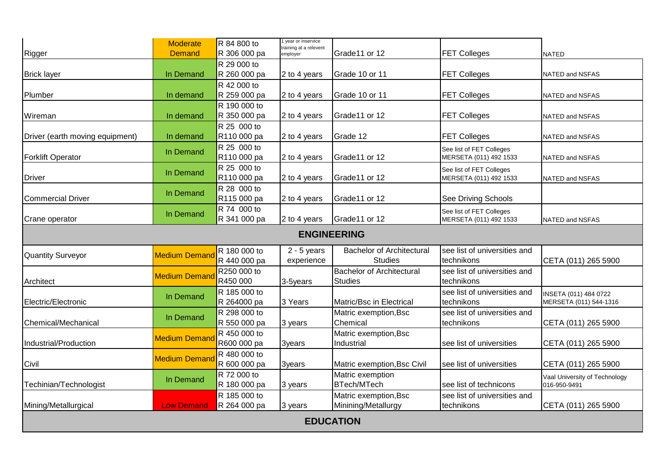| Rigger                          | <b>Moderate</b><br><b>Demand</b> | R 84 800 to<br>R 306 000 pa            | 1 year or inservice<br>training at a relevent<br>employer | Grade11 or 12                                      | <b>FET Colleges</b>                                | <b>NATED</b>                                    |  |  |  |  |  |  |
|---------------------------------|----------------------------------|----------------------------------------|-----------------------------------------------------------|----------------------------------------------------|----------------------------------------------------|-------------------------------------------------|--|--|--|--|--|--|
|                                 |                                  | R 29 000 to                            |                                                           |                                                    |                                                    |                                                 |  |  |  |  |  |  |
| <b>Brick layer</b>              | In Demand                        | R 260 000 pa                           | 2 to 4 years                                              | Grade 10 or 11                                     | <b>FET Colleges</b>                                | NATED and NSFAS                                 |  |  |  |  |  |  |
| Plumber                         | In demand                        | R 42 000 to<br>R 259 000 pa            | 2 to 4 years                                              | Grade 10 or 11                                     | <b>FET Colleges</b>                                | NATED and NSFAS                                 |  |  |  |  |  |  |
|                                 |                                  | R 190 000 to                           |                                                           |                                                    |                                                    |                                                 |  |  |  |  |  |  |
| Wireman                         | In demand                        | R 350 000 pa                           | 2 to 4 years                                              | Grade11 or 12                                      | <b>FET Colleges</b>                                | NATED and NSFAS                                 |  |  |  |  |  |  |
| Driver (earth moving equipment) | In demand                        | R 25 000 to<br>R <sub>110</sub> 000 pa | 2 to 4 years                                              | Grade 12                                           | <b>FET Colleges</b>                                | NATED and NSFAS                                 |  |  |  |  |  |  |
| <b>Forklift Operator</b>        | In Demand                        | R 25 000 to<br>R110 000 pa             | 2 to 4 years                                              | Grade11 or 12                                      | See list of FET Colleges<br>MERSETA (011) 492 1533 | NATED and NSFAS                                 |  |  |  |  |  |  |
| <b>Driver</b>                   | In Demand                        | R 25 000 to<br>R110 000 pa             | 2 to 4 years                                              | Grade11 or 12                                      | See list of FET Colleges<br>MERSETA (011) 492 1533 | NATED and NSFAS                                 |  |  |  |  |  |  |
| <b>Commercial Driver</b>        | In Demand                        | R 28 000 to<br>R115 000 pa             | 2 to 4 years                                              | Grade11 or 12                                      | See Driving Schools                                |                                                 |  |  |  |  |  |  |
| Crane operator                  | In Demand                        | R 74 000 to<br>R 341 000 pa            | 2 to 4 years                                              | Grade11 or 12                                      | See list of FET Colleges<br>MERSETA (011) 492 1533 | NATED and NSFAS                                 |  |  |  |  |  |  |
| <b>ENGINEERING</b>              |                                  |                                        |                                                           |                                                    |                                                    |                                                 |  |  |  |  |  |  |
| <b>Quantity Surveyor</b>        | <b>Medium Demand</b>             | R 180 000 to<br>R 440 000 pa           | $2 - 5$ years<br>experience                               | <b>Bachelor of Architectural</b><br><b>Studies</b> | see list of universities and<br>technikons         | CETA (011) 265 5900                             |  |  |  |  |  |  |
| Architect                       | <b>Medium Demand</b>             | R250 000 to<br>R450 000                | 3-5years                                                  | <b>Bachelor of Architectural</b><br><b>Studies</b> | see list of universities and<br>technikons         |                                                 |  |  |  |  |  |  |
| Electric/Electronic             | In Demand                        | R 185 000 to<br>R 264000 pa            | 3 Years                                                   | Matric/Bsc in Electrical                           | see list of universities and<br>technikons         | INSETA (011) 484 0722<br>MERSETA (011) 544-1316 |  |  |  |  |  |  |
| Chemical/Mechanical             | In Demand                        | R 298 000 to<br>R 550 000 pa           | 3 years                                                   | Matric exemption, Bsc<br>Chemical                  | see list of universities and<br>technikons         | CETA (011) 265 5900                             |  |  |  |  |  |  |
| Industrial/Production           | <b>Medium Demand</b>             | R 450 000 to<br>R600 000 pa            | 3years                                                    | Matric exemption, Bsc<br>Industrial                | see list of universities                           | CETA (011) 265 5900                             |  |  |  |  |  |  |
| Civil                           | <b>Medium Demand</b>             | R 480 000 to<br>R 600 000 pa           | 3years                                                    | Matric exemption, Bsc Civil                        | see list of universities                           | CETA (011) 265 5900                             |  |  |  |  |  |  |
| Techinian/Technologist          | In Demand                        | R 72 000 to<br>R 180 000 pa            | 3 years                                                   | Matric exemption<br><b>BTech/MTech</b>             | see list of technicons                             | Vaal University of Technology<br>016-950-9491   |  |  |  |  |  |  |
| Mining/Metallurgical            | <b>Low Demand</b>                | R 185 000 to<br>R 264 000 pa           | 3 years                                                   | Matric exemption, Bsc<br>Minining/Metallurgy       | see list of universities and<br>technikons         | CETA (011) 265 5900                             |  |  |  |  |  |  |
|                                 |                                  |                                        | <b>EDUCATION</b>                                          |                                                    |                                                    |                                                 |  |  |  |  |  |  |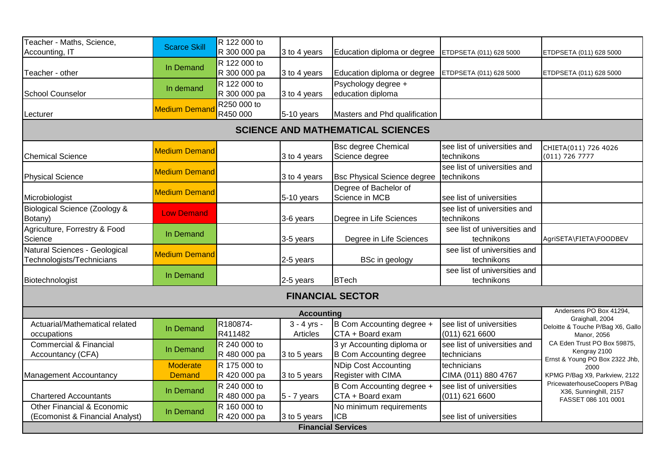| Teacher - Maths, Science,         | <b>Scarce Skill</b>  | R 122 000 to |                   |                                          |                              |                                                        |
|-----------------------------------|----------------------|--------------|-------------------|------------------------------------------|------------------------------|--------------------------------------------------------|
| Accounting, IT                    |                      | R 300 000 pa | 3 to 4 years      | Education diploma or degree              | ETDPSETA (011) 628 5000      | ETDPSETA (011) 628 5000                                |
|                                   | In Demand            | R 122 000 to |                   |                                          |                              |                                                        |
| Teacher - other                   |                      | R 300 000 pa | 3 to 4 years      | Education diploma or degree              | ETDPSETA (011) 628 5000      | ETDPSETA (011) 628 5000                                |
|                                   | In demand            | R 122 000 to |                   | Psychology degree +                      |                              |                                                        |
| <b>School Counselor</b>           |                      | R 300 000 pa | 3 to 4 years      | education diploma                        |                              |                                                        |
|                                   | <b>Medium Demand</b> | R250 000 to  |                   |                                          |                              |                                                        |
| Lecturer                          |                      | R450 000     | 5-10 years        | Masters and Phd qualification            |                              |                                                        |
|                                   |                      |              |                   | <b>SCIENCE AND MATHEMATICAL SCIENCES</b> |                              |                                                        |
|                                   |                      |              |                   | <b>Bsc degree Chemical</b>               | see list of universities and | CHIETA(011) 726 4026                                   |
| <b>Chemical Science</b>           | <b>Medium Demand</b> |              | 3 to 4 years      | Science degree                           | technikons                   | $(011)$ 726 7777                                       |
|                                   | <b>Medium Demand</b> |              |                   |                                          | see list of universities and |                                                        |
| <b>Physical Science</b>           |                      |              | 3 to 4 years      | <b>Bsc Physical Science degree</b>       | technikons                   |                                                        |
|                                   | <b>Medium Demand</b> |              |                   | Degree of Bachelor of                    |                              |                                                        |
| Microbiologist                    |                      |              | 5-10 years        | Science in MCB                           | see list of universities     |                                                        |
| Biological Science (Zoology &     | <b>Low Demand</b>    |              |                   |                                          | see list of universities and |                                                        |
| Botany)                           |                      |              | 3-6 years         | Degree in Life Sciences                  | technikons                   |                                                        |
| Agriculture, Forrestry & Food     | In Demand            |              |                   |                                          | see list of universities and |                                                        |
| Science                           |                      |              | 3-5 years         | Degree in Life Sciences                  | technikons                   | AgriSETA\FIETA\FOODBEV                                 |
| Natural Sciences - Geological     | <b>Medium Demand</b> |              |                   |                                          | see list of universities and |                                                        |
| Technologists/Technicians         |                      |              | 2-5 years         | BSc in geology                           | technikons                   |                                                        |
|                                   | In Demand            |              |                   |                                          | see list of universities and |                                                        |
| Biotechnologist                   |                      |              | 2-5 years         | <b>BTech</b>                             | technikons                   |                                                        |
|                                   |                      |              |                   | <b>FINANCIAL SECTOR</b>                  |                              |                                                        |
|                                   |                      |              | <b>Accounting</b> |                                          |                              | Andersens PO Box 41294,                                |
| Actuarial/Mathematical related    | In Demand            | R180874-     | $3 - 4$ yrs -     | B Com Accounting degree +                | see list of universities     | Graighall, 2004<br>Deloitte & Touche P/Bag X6, Gallo   |
| occupations                       |                      | R411482      | Articles          | CTA + Board exam                         | $(011)$ 621 6600             | Manor, 2056                                            |
| <b>Commercial &amp; Financial</b> | In Demand            | R 240 000 to |                   | 3 yr Accounting diploma or               | see list of universities and | CA Eden Trust PO Box 59875,                            |
| Accountancy (CFA)                 |                      | R 480 000 pa | 3 to 5 years      | B Com Accounting degree                  | technicians                  | Kengray 2100<br>Ernst & Young PO Box 2322 Jhb,         |
|                                   | Moderate             | R 175 000 to |                   | NDip Cost Accounting                     | technicians                  | 2000                                                   |
| Management Accountancy            | <b>Demand</b>        | R 420 000 pa | 3 to 5 years      | Register with CIMA                       | CIMA (011) 880 4767          | KPMG P/Bag X9, Parkview, 2122                          |
|                                   | In Demand            | R 240 000 to |                   | B Com Accounting degree +                | see list of universities     | PricewaterhouseCoopers P/Bag<br>X36, Sunninghill, 2157 |
| <b>Chartered Accountants</b>      |                      | R 480 000 pa | $5 - 7$ years     | CTA + Board exam                         | $(011)$ 621 6600             | FASSET 086 101 0001                                    |
| Other Financial & Economic        | In Demand            | R 160 000 to |                   | No minimum requirements                  |                              |                                                        |
| (Ecomonist & Financial Analyst)   |                      | R 420 000 pa | 3 to 5 years      | <b>ICB</b>                               | see list of universities     |                                                        |
|                                   |                      |              |                   | <b>Financial Services</b>                |                              |                                                        |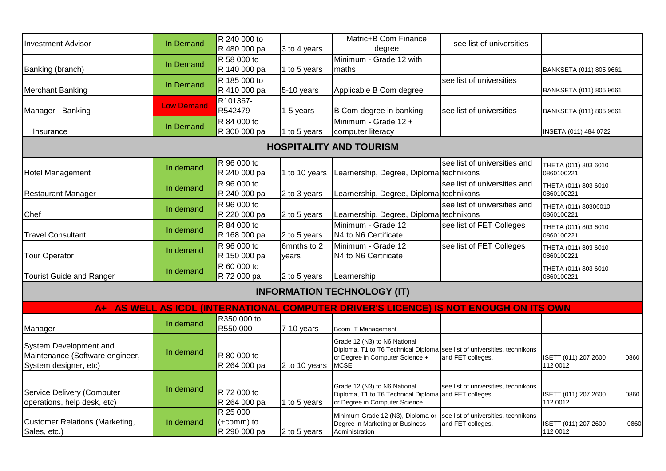| <b>Investment Advisor</b>                                 | In Demand         | R 240 000 to                |                      | Matric+B Com Finance                                                                                        | see list of universities                                  |                                    |      |
|-----------------------------------------------------------|-------------------|-----------------------------|----------------------|-------------------------------------------------------------------------------------------------------------|-----------------------------------------------------------|------------------------------------|------|
|                                                           |                   | R 480 000 pa<br>R 58 000 to | 3 to 4 years         | degree<br>Minimum - Grade 12 with                                                                           |                                                           |                                    |      |
| Banking (branch)                                          | In Demand         | R 140 000 pa                | 1 to 5 years         | maths                                                                                                       |                                                           | BANKSETA (011) 805 9661            |      |
|                                                           |                   | R 185 000 to                |                      |                                                                                                             | see list of universities                                  |                                    |      |
| <b>Merchant Banking</b>                                   | In Demand         | R 410 000 pa                | 5-10 years           | Applicable B Com degree                                                                                     |                                                           | BANKSETA (011) 805 9661            |      |
|                                                           |                   | R101367-                    |                      |                                                                                                             |                                                           |                                    |      |
| Manager - Banking                                         | <b>Low Demand</b> | R542479                     | 1-5 years            | B Com degree in banking                                                                                     | see list of universities                                  | BANKSETA (011) 805 9661            |      |
|                                                           | In Demand         | R 84 000 to                 |                      | Minimum - Grade 12 +                                                                                        |                                                           |                                    |      |
| Insurance                                                 |                   | R 300 000 pa                | 1 to 5 years         | computer literacy                                                                                           |                                                           | INSETA (011) 484 0722              |      |
|                                                           |                   |                             |                      | <b>HOSPITALITY AND TOURISM</b>                                                                              |                                                           |                                    |      |
|                                                           |                   | R 96 000 to                 |                      |                                                                                                             | see list of universities and                              | THETA (011) 803 6010               |      |
| <b>Hotel Management</b>                                   | In demand         | R 240 000 pa                | 1 to 10 years        | Learnership, Degree, Diploma technikons                                                                     |                                                           | 0860100221                         |      |
|                                                           | In demand         | R 96 000 to                 |                      |                                                                                                             | see list of universities and                              | THETA (011) 803 6010               |      |
| <b>Restaurant Manager</b>                                 |                   | R 240 000 pa                | 2 to 3 years         | Learnership, Degree, Diploma technikons                                                                     |                                                           | 0860100221                         |      |
|                                                           | In demand         | R 96 000 to                 |                      |                                                                                                             | see list of universities and                              | THETA (011) 80306010               |      |
| Chef                                                      |                   | R 220 000 pa                | 2 to 5 years         | Learnership, Degree, Diploma technikons                                                                     |                                                           | 0860100221                         |      |
|                                                           | In demand         | R 84 000 to                 |                      | Minimum - Grade 12                                                                                          | see list of FET Colleges                                  | THETA (011) 803 6010               |      |
| <b>Travel Consultant</b>                                  |                   | R 168 000 pa                | 2 to 5 years         | N4 to N6 Certificate                                                                                        |                                                           | 0860100221                         |      |
| <b>Tour Operator</b>                                      | In demand         | R 96 000 to<br>R 150 000 pa | 6mnths to 2<br>years | Minimum - Grade 12<br>N4 to N6 Certificate                                                                  | see list of FET Colleges                                  | THETA (011) 803 6010<br>0860100221 |      |
|                                                           |                   | R 60 000 to                 |                      |                                                                                                             |                                                           |                                    |      |
| <b>Tourist Guide and Ranger</b>                           | In demand         | R 72 000 pa                 | 2 to 5 years         | Learnership                                                                                                 |                                                           | THETA (011) 803 6010<br>0860100221 |      |
|                                                           |                   |                             |                      | <b>INFORMATION TECHNOLOGY (IT)</b>                                                                          |                                                           |                                    |      |
| $A+$                                                      |                   |                             |                      | AS WELL AS ICDL (INTERNATIONAL COMPUTER DRIVER'S LICENCE) IS NOT ENOUGH ON ITS OWN                          |                                                           |                                    |      |
|                                                           | In demand         | R350 000 to                 |                      |                                                                                                             |                                                           |                                    |      |
| Manager                                                   |                   | R550 000                    | 7-10 years           | Bcom IT Management                                                                                          |                                                           |                                    |      |
| System Development and                                    |                   |                             |                      | Grade 12 (N3) to N6 National                                                                                |                                                           |                                    |      |
| Maintenance (Software engineer,                           | In demand         | R 80 000 to                 |                      | Diploma, T1 to T6 Technical Diploma see list of universities, technikons<br>or Degree in Computer Science + |                                                           | ISETT (011) 207 2600               |      |
| System designer, etc)                                     |                   | R 264 000 pa                | 2 to 10 years        | <b>MCSE</b>                                                                                                 | and FET colleges.                                         | 112 0012                           | 0860 |
|                                                           |                   |                             |                      |                                                                                                             |                                                           |                                    |      |
|                                                           | In demand         |                             |                      | Grade 12 (N3) to N6 National                                                                                | see list of universities, technikons                      |                                    |      |
| Service Delivery (Computer<br>operations, help desk, etc) |                   | R 72 000 to<br>R 264 000 pa |                      | Diploma, T1 to T6 Technical Diploma and FET colleges.<br>or Degree in Computer Science                      |                                                           | ISETT (011) 207 2600<br>112 0012   | 0860 |
|                                                           |                   | R 25 000                    | 1 to 5 years         |                                                                                                             |                                                           |                                    |      |
| <b>Customer Relations (Marketing,</b>                     | In demand         | (+comm) to                  |                      | Minimum Grade 12 (N3), Diploma or<br>Degree in Marketing or Business                                        | see list of universities, technikons<br>and FET colleges. | ISETT (011) 207 2600               | 0860 |
| Sales, etc.)                                              |                   | R 290 000 pa                | 2 to 5 years         | Administration                                                                                              |                                                           | 112 0012                           |      |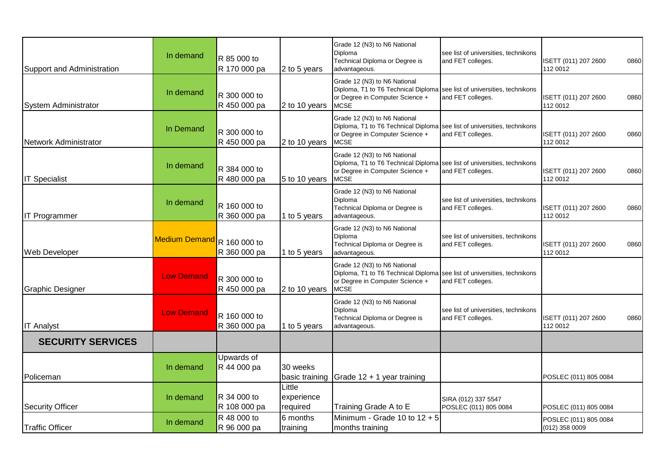| Support and Administration | In demand            | R 85 000 to<br>R 170 000 pa  | 2 to 5 years                     | Grade 12 (N3) to N6 National<br>Diploma<br>Technical Diploma or Degree is<br>advantageous.                                                                 | see list of universities, technikons<br>and FET colleges. | ISETT (011) 207 2600<br>112 0012        | 0860 |
|----------------------------|----------------------|------------------------------|----------------------------------|------------------------------------------------------------------------------------------------------------------------------------------------------------|-----------------------------------------------------------|-----------------------------------------|------|
| System Administrator       | In demand            | R 300 000 to<br>R 450 000 pa | 2 to 10 years                    | Grade 12 (N3) to N6 National<br>Diploma, T1 to T6 Technical Diploma<br>or Degree in Computer Science +<br><b>MCSE</b>                                      | see list of universities, technikons<br>and FET colleges. | ISETT (011) 207 2600<br>112 0012        | 0860 |
| Network Administrator      | In Demand            | R 300 000 to<br>R 450 000 pa | 2 to 10 years                    | Grade 12 (N3) to N6 National<br>Diploma, T1 to T6 Technical Diploma<br>or Degree in Computer Science +<br><b>MCSE</b>                                      | see list of universities, technikons<br>and FET colleges. | ISETT (011) 207 2600<br>112 0012        | 0860 |
| <b>IT Specialist</b>       | In demand            | R 384 000 to<br>R 480 000 pa | 5 to 10 years                    | Grade 12 (N3) to N6 National<br>Diploma, T1 to T6 Technical Diploma see list of universities, technikons<br>or Degree in Computer Science +<br><b>MCSE</b> | and FET colleges.                                         | ISETT (011) 207 2600<br>112 0012        | 0860 |
| <b>IT Programmer</b>       | In demand            | R 160 000 to<br>R 360 000 pa | 1 to 5 years                     | Grade 12 (N3) to N6 National<br>Diploma<br>Technical Diploma or Degree is<br>advantageous.                                                                 | see list of universities, technikons<br>and FET colleges. | ISETT (011) 207 2600<br>112 0012        | 0860 |
| <b>Web Developer</b>       | <b>Medium Demand</b> | R 160 000 to<br>R 360 000 pa | 1 to 5 years                     | Grade 12 (N3) to N6 National<br>Diploma<br>Technical Diploma or Degree is<br>advantageous.                                                                 | see list of universities, technikons<br>and FET colleges. | ISETT (011) 207 2600<br>112 0012        | 0860 |
| Graphic Designer           | <b>Low Demand</b>    | R 300 000 to<br>R 450 000 pa | 2 to 10 years                    | Grade 12 (N3) to N6 National<br>Diploma, T1 to T6 Technical Diploma<br>or Degree in Computer Science +<br><b>MCSE</b>                                      | see list of universities, technikons<br>and FET colleges. |                                         |      |
| <b>IT Analyst</b>          | <b>Low Demand</b>    | R 160 000 to<br>R 360 000 pa | 1 to 5 years                     | Grade 12 (N3) to N6 National<br>Diploma<br>Technical Diploma or Degree is<br>advantageous.                                                                 | see list of universities, technikons<br>and FET colleges. | ISETT (011) 207 2600<br>112 0012        | 0860 |
| <b>SECURITY SERVICES</b>   |                      |                              |                                  |                                                                                                                                                            |                                                           |                                         |      |
| Policeman                  | In demand            | Upwards of<br>R 44 000 pa    | 30 weeks                         | basic training Grade 12 + 1 year training                                                                                                                  |                                                           | POSLEC (011) 805 0084                   |      |
| Security Officer           | In demand            | R 34 000 to<br>R 108 000 pa  | Little<br>experience<br>required | Training Grade A to E                                                                                                                                      | SIRA (012) 337 5547<br>POSLEC (011) 805 0084              | POSLEC (011) 805 0084                   |      |
| <b>Traffic Officer</b>     | In demand            | R 48 000 to<br>R 96 000 pa   | 6 months<br>training             | Minimum - Grade 10 to 12 + 5<br>months training                                                                                                            |                                                           | POSLEC (011) 805 0084<br>(012) 358 0009 |      |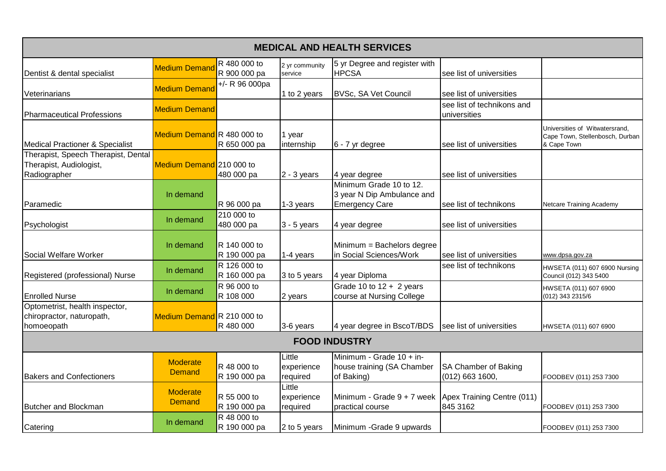|                                                                                |                                  |                              |                                  | <b>MEDICAL AND HEALTH SERVICES</b>                                             |                                            |                                                                                  |
|--------------------------------------------------------------------------------|----------------------------------|------------------------------|----------------------------------|--------------------------------------------------------------------------------|--------------------------------------------|----------------------------------------------------------------------------------|
| Dentist & dental specialist                                                    | <b>Medium Demand</b>             | R 480 000 to<br>R 900 000 pa | 2 yr community<br>service        | 5 yr Degree and register with<br><b>HPCSA</b>                                  | see list of universities                   |                                                                                  |
| Veterinarians                                                                  | <b>Medium Demand</b>             | $+/- R$ 96 000pa             | 1 to 2 years                     | BVSc, SA Vet Council                                                           | see list of universities                   |                                                                                  |
| Pharmaceutical Professions                                                     | <b>Medium Demand</b>             |                              |                                  |                                                                                | see list of technikons and<br>universities |                                                                                  |
| Medical Practioner & Specialist                                                | Medium Demand R 480 000 to       | R 650 000 pa                 | 1 year<br>internship             | 6 - 7 yr degree                                                                | see list of universities                   | Universities of Witwatersrand,<br>Cape Town, Stellenbosch, Durban<br>& Cape Town |
| Therapist, Speech Therapist, Dental<br>Therapist, Audiologist,<br>Radiographer | Medium Demand 210 000 to         | 480 000 pa                   | $2 - 3$ years                    | 4 year degree                                                                  | see list of universities                   |                                                                                  |
| Paramedic                                                                      | In demand                        | R 96 000 pa                  | 1-3 years                        | Minimum Grade 10 to 12.<br>3 year N Dip Ambulance and<br><b>Emergency Care</b> | see list of technikons                     | Netcare Training Academy                                                         |
| Psychologist                                                                   | In demand                        | 210 000 to<br>480 000 pa     | $3 - 5$ years                    | 4 year degree                                                                  | see list of universities                   |                                                                                  |
| Social Welfare Worker                                                          | In demand                        | R 140 000 to<br>R 190 000 pa | 1-4 years                        | Minimum = Bachelors degree<br>in Social Sciences/Work                          | see list of universities                   | www.dpsa.gov.za                                                                  |
| Registered (professional) Nurse                                                | In demand                        | R 126 000 to<br>R 160 000 pa | 3 to 5 years                     | 4 year Diploma                                                                 | see list of technikons                     | HWSETA (011) 607 6900 Nursing<br>Council (012) 343 5400                          |
| <b>Enrolled Nurse</b>                                                          | In demand                        | R 96 000 to<br>R 108 000     | 2 years                          | Grade 10 to $12 + 2$ years<br>course at Nursing College                        |                                            | HWSETA (011) 607 6900<br>(012) 343 2315/6                                        |
| Optometrist, health inspector,<br>chiropractor, naturopath,<br>homoeopath      | Medium Demand R 210 000 to       | R 480 000                    | 3-6 years                        | 4 year degree in BscoT/BDS                                                     | see list of universities                   | HWSETA (011) 607 6900                                                            |
|                                                                                |                                  |                              |                                  | <b>FOOD INDUSTRY</b>                                                           |                                            |                                                                                  |
| <b>Bakers and Confectioners</b>                                                | <b>Moderate</b><br><b>Demand</b> | R 48 000 to<br>R 190 000 pa  | Little<br>experience<br>required | Minimum - Grade 10 + in-<br>house training (SA Chamber<br>of Baking)           | SA Chamber of Baking<br>(012) 663 1600,    | FOODBEV (011) 253 7300                                                           |
| <b>Butcher and Blockman</b>                                                    | <b>Moderate</b><br><b>Demand</b> | R 55 000 to<br>R 190 000 pa  | Little<br>experience<br>required | Minimum - Grade 9 + 7 week Apex Training Centre (011)<br>practical course      | 845 3162                                   | FOODBEV (011) 253 7300                                                           |
| Catering                                                                       | In demand                        | R 48 000 to<br>R 190 000 pa  | 2 to 5 years                     | Minimum - Grade 9 upwards                                                      |                                            | FOODBEV (011) 253 7300                                                           |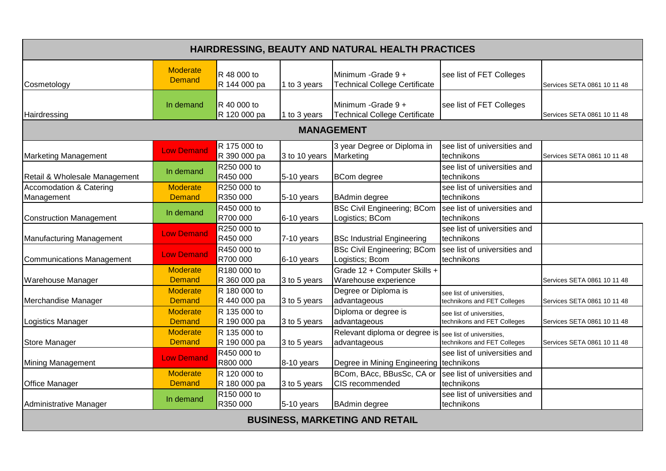| HAIRDRESSING, BEAUTY AND NATURAL HEALTH PRACTICES |                                  |                                     |               |                                                             |                                                          |                             |  |  |
|---------------------------------------------------|----------------------------------|-------------------------------------|---------------|-------------------------------------------------------------|----------------------------------------------------------|-----------------------------|--|--|
| Cosmetology                                       | <b>Moderate</b><br><b>Demand</b> | R 48 000 to<br>R 144 000 pa         | 1 to 3 years  | Minimum - Grade 9 +<br><b>Technical College Certificate</b> | see list of FET Colleges                                 | Services SETA 0861 10 11 48 |  |  |
| Hairdressing                                      | In demand                        | R 40 000 to<br>R 120 000 pa         | 1 to 3 years  | Minimum - Grade 9 +<br>Technical College Certificate        | see list of FET Colleges                                 | Services SETA 0861 10 11 48 |  |  |
| <b>MANAGEMENT</b>                                 |                                  |                                     |               |                                                             |                                                          |                             |  |  |
| <b>Marketing Management</b>                       | <b>Low Demand</b>                | R 175 000 to<br>R 390 000 pa        | 3 to 10 years | 3 year Degree or Diploma in<br>Marketing                    | see list of universities and<br>technikons               | Services SETA 0861 10 11 48 |  |  |
| Retail & Wholesale Management                     | In demand                        | R250 000 to<br>R450 000             | 5-10 years    | <b>BCom</b> degree                                          | see list of universities and<br>technikons               |                             |  |  |
| <b>Accomodation &amp; Catering</b><br>Management  | <b>Moderate</b><br><b>Demand</b> | R250 000 to<br>R350 000             | 5-10 years    | <b>BAdmin degree</b>                                        | see list of universities and<br>technikons               |                             |  |  |
| Construction Management                           | In demand                        | R450 000 to<br>R700 000             | 6-10 years    | <b>BSc Civil Engineering; BCom</b><br>Logistics; BCom       | see list of universities and<br>technikons               |                             |  |  |
| Manufacturing Management                          | <b>Low Demand</b>                | R250 000 to<br>R450 000             | 7-10 years    | <b>BSc Industrial Engineering</b>                           | see list of universities and<br>technikons               |                             |  |  |
| Communications Management                         | <b>Low Demand</b>                | R450 000 to<br>R700 000             | 6-10 years    | <b>BSc Civil Engineering; BCom</b><br>Logistics; Bcom       | see list of universities and<br>technikons               |                             |  |  |
| Warehouse Manager                                 | <b>Moderate</b><br><b>Demand</b> | R180 000 to<br>R 360 000 pa         | 3 to 5 years  | Grade 12 + Computer Skills +<br>Warehouse experience        |                                                          | Services SETA 0861 10 11 48 |  |  |
| Merchandise Manager                               | Moderate<br><b>Demand</b>        | R 180 000 to<br>R 440 000 pa        | 3 to 5 years  | Degree or Diploma is<br>advantageous                        | see list of universities,<br>technikons and FET Colleges | Services SETA 0861 10 11 48 |  |  |
| Logistics Manager                                 | <b>Moderate</b><br><b>Demand</b> | R 135 000 to<br>R 190 000 pa        | 3 to 5 years  | Diploma or degree is<br>advantageous                        | see list of universities,<br>technikons and FET Colleges | Services SETA 0861 10 11 48 |  |  |
| <b>Store Manager</b>                              | <b>Moderate</b><br><b>Demand</b> | R 135 000 to<br>R 190 000 pa        | 3 to 5 years  | Relevant diploma or degree is<br>advantageous               | see list of universities,<br>technikons and FET Colleges | Services SETA 0861 10 11 48 |  |  |
| Mining Management                                 | <b>Low Demand</b>                | R450 000 to<br>R800 000             | 8-10 years    | Degree in Mining Engineering technikons                     | see list of universities and                             |                             |  |  |
| <b>Office Manager</b>                             | <b>Moderate</b><br><b>Demand</b> | R 120 000 to<br>R 180 000 pa        | 3 to 5 years  | BCom, BAcc, BBusSc, CA or<br>CIS recommended                | see list of universities and<br>technikons               |                             |  |  |
| Administrative Manager                            | In demand                        | R <sub>150</sub> 000 to<br>R350 000 | 5-10 years    | <b>BAdmin degree</b>                                        | see list of universities and<br>technikons               |                             |  |  |
|                                                   |                                  |                                     |               | <b>BUSINESS, MARKETING AND RETAIL</b>                       |                                                          |                             |  |  |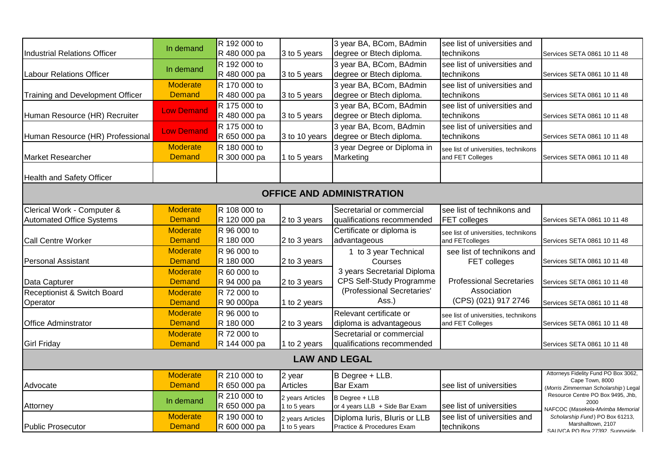|                                     |                   | R 192 000 to |                  | 3 year BA, BCom, BAdmin          | see list of universities and         |                                                         |
|-------------------------------------|-------------------|--------------|------------------|----------------------------------|--------------------------------------|---------------------------------------------------------|
| <b>Industrial Relations Officer</b> | In demand         | R 480 000 pa | 3 to 5 years     | degree or Btech diploma.         | technikons                           | Services SETA 0861 10 11 48                             |
|                                     |                   | R 192 000 to |                  | 3 year BA, BCom, BAdmin          | see list of universities and         |                                                         |
| <b>Labour Relations Officer</b>     | In demand         | R 480 000 pa | 3 to 5 years     | degree or Btech diploma.         | technikons                           | Services SETA 0861 10 11 48                             |
|                                     | <b>Moderate</b>   | R 170 000 to |                  | 3 year BA, BCom, BAdmin          | see list of universities and         |                                                         |
| Training and Development Officer    | <b>Demand</b>     | R 480 000 pa | 3 to 5 years     | degree or Btech diploma.         | technikons                           | Services SETA 0861 10 11 48                             |
|                                     |                   | R 175 000 to |                  | 3 year BA, BCom, BAdmin          | see list of universities and         |                                                         |
| Human Resource (HR) Recruiter       | <b>Low Demand</b> | R 480 000 pa | 3 to 5 years     | degree or Btech diploma.         | technikons                           | Services SETA 0861 10 11 48                             |
|                                     |                   | R 175 000 to |                  | 3 year BA, Bcom, BAdmin          | see list of universities and         |                                                         |
| Human Resource (HR) Professional    | <b>Low Demand</b> | R 650 000 pa | 3 to 10 years    | degree or Btech diploma.         | technikons                           | Services SETA 0861 10 11 48                             |
|                                     | <b>Moderate</b>   | R 180 000 to |                  | 3 year Degree or Diploma in      | see list of universities, technikons |                                                         |
| <b>Market Researcher</b>            | <b>Demand</b>     | R 300 000 pa | 1 to 5 years     | Marketing                        | and FET Colleges                     | Services SETA 0861 10 11 48                             |
|                                     |                   |              |                  |                                  |                                      |                                                         |
| <b>Health and Safety Officer</b>    |                   |              |                  |                                  |                                      |                                                         |
|                                     |                   |              |                  | <b>OFFICE AND ADMINISTRATION</b> |                                      |                                                         |
|                                     |                   |              |                  |                                  |                                      |                                                         |
| Clerical Work - Computer &          | Moderate          | R 108 000 to |                  | Secretarial or commercial        | see list of technikons and           |                                                         |
| <b>Automated Office Systems</b>     | <b>Demand</b>     | R 120 000 pa | 2 to 3 years     | qualifications recommended       | <b>FET colleges</b>                  | Services SETA 0861 10 11 48                             |
|                                     | <b>Moderate</b>   | R 96 000 to  |                  | Certificate or diploma is        | see list of universities, technikons |                                                         |
| <b>Call Centre Worker</b>           | <b>Demand</b>     | R 180 000    | 2 to 3 years     | advantageous                     | and FETcolleges                      | Services SETA 0861 10 11 48                             |
|                                     | <b>Moderate</b>   | R 96 000 to  |                  | 1 to 3 year Technical            | see list of technikons and           |                                                         |
| <b>Personal Assistant</b>           | <b>Demand</b>     | R 180 000    | 2 to 3 years     | Courses                          | FET colleges                         | Services SETA 0861 10 11 48                             |
|                                     | <b>Moderate</b>   | R 60 000 to  |                  | 3 years Secretarial Diploma      |                                      |                                                         |
| Data Capturer                       | <b>Demand</b>     | R 94 000 pa  | 2 to 3 years     | CPS Self-Study Programme         | <b>Professional Secretaries</b>      | Services SETA 0861 10 11 48                             |
| Receptionist & Switch Board         | <b>Moderate</b>   | R 72 000 to  |                  | (Professional Secretaries'       | Association                          |                                                         |
| Operator                            | <b>Demand</b>     | R 90 000pa   | 1 to 2 years     | Ass.)                            | (CPS) (021) 917 2746                 | Services SETA 0861 10 11 48                             |
|                                     | <b>Moderate</b>   | R 96 000 to  |                  | Relevant certificate or          | see list of universities, technikons |                                                         |
| <b>Office Adminstrator</b>          | <b>Demand</b>     | R 180 000    | 2 to 3 years     | diploma is advantageous          | and FET Colleges                     | Services SETA 0861 10 11 48                             |
|                                     | <b>Moderate</b>   | R 72 000 to  |                  | Secretarial or commercial        |                                      |                                                         |
| <b>Girl Friday</b>                  | <b>Demand</b>     | R 144 000 pa | 1 to 2 years     | qualifications recommended       |                                      | Services SETA 0861 10 11 48                             |
|                                     |                   |              |                  | <b>LAW AND LEGAL</b>             |                                      |                                                         |
|                                     |                   |              |                  |                                  |                                      |                                                         |
|                                     | <b>Moderate</b>   | R 210 000 to | 2 year           | B Degree + LLB.                  |                                      | Attorneys Fidelity Fund PO Box 3062,<br>Cape Town, 8000 |
| Advocate                            | <b>Demand</b>     | R 650 000 pa | <b>Articles</b>  | <b>Bar Exam</b>                  | see list of universities             | (Morris Zimmerman Scholarship) Legal                    |
|                                     | In demand         | R 210 000 to | 2 years Articles | B Degree + LLB                   |                                      | Resource Centre PO Box 9495, Jhb,<br>2000               |
| Attorney                            |                   | R 650 000 pa | 1 to 5 years     | or 4 years LLB + Side Bar Exam   | see list of universities             | NAFCOC (Masekela-Mvimba Memorial                        |
|                                     | <b>Moderate</b>   | R 190 000 to | 2 years Articles | Diploma Iuris, Bluris or LLB     | see list of universities and         | Scholarship Fund) PO Box 61213,                         |
| Public Prosecutor                   | <b>Demand</b>     | R 600 000 pa | 1 to 5 years     | Practice & Procedures Exam       | technikons                           | Marshalltown, 2107<br>SALIVCA PO Box 27392 Sunnyside    |